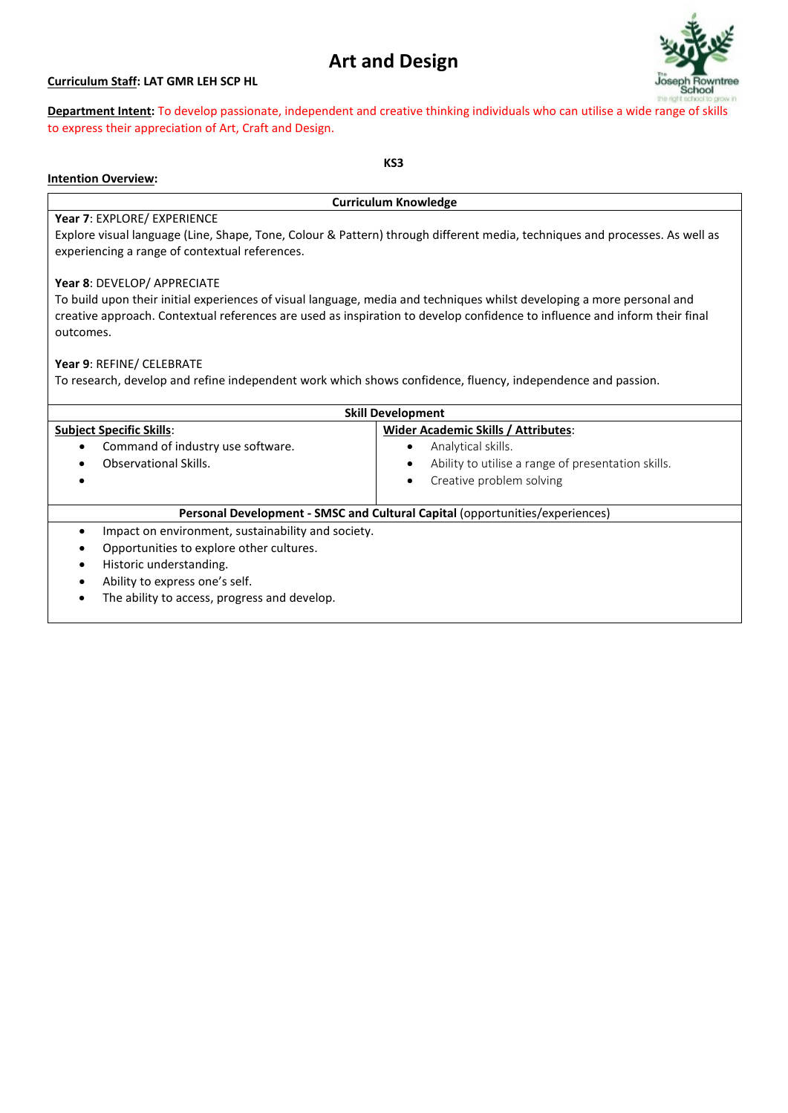# **Art and Design**

## **Curriculum Staff: LAT GMR LEH SCP HL**



**Department Intent:** To develop passionate, independent and creative thinking individuals who can utilise a wi[de range of skills](http://www.google.co.uk/url?sa=i&rct=j&q=joseph+rowntree+school&source=images&cd=&docid=pvpe50c-uUQHZM&tbnid=FheMEzMdvtoWwM:&ved=0CAUQjRw&url=http://www.numu.org.uk/station_about.asp?lngSiteID=3389&ei=Zg5DUc-OE-Sq0QWz_YDQBw&psig=AFQjCNFC3IZ1ccHZ7Q4HLZLIhN02oMws1Q&ust=1363434927182377)  to express their appreciation of Art, Craft and Design.

#### **KS3**

# **Intention Overview:**

**Curriculum Knowledge**

## **Year 7**: EXPLORE/ EXPERIENCE

Explore visual language (Line, Shape, Tone, Colour & Pattern) through different media, techniques and processes. As well as experiencing a range of contextual references.

## **Year 8**: DEVELOP/ APPRECIATE

To build upon their initial experiences of visual language, media and techniques whilst developing a more personal and creative approach. Contextual references are used as inspiration to develop confidence to influence and inform their final outcomes.

## **Year 9**: REFINE/ CELEBRATE

To research, develop and refine independent work which shows confidence, fluency, independence and passion.

| <b>Skill Development</b>                                                     |                                                    |  |
|------------------------------------------------------------------------------|----------------------------------------------------|--|
| <b>Subject Specific Skills:</b>                                              | Wider Academic Skills / Attributes:                |  |
| Command of industry use software.<br>$\bullet$                               | Analytical skills.                                 |  |
| Observational Skills.                                                        | Ability to utilise a range of presentation skills. |  |
|                                                                              | Creative problem solving                           |  |
|                                                                              |                                                    |  |
| Personal Development - SMSC and Cultural Capital (opportunities/experiences) |                                                    |  |
| Impact on environment, sustainability and society.<br>$\bullet$              |                                                    |  |
| Opportunities to explore other cultures.<br>٠                                |                                                    |  |
| Historic understanding.<br>$\bullet$                                         |                                                    |  |
| Ability to express one's self.<br>$\bullet$                                  |                                                    |  |
| The ability to access, progress and develop.<br>$\bullet$                    |                                                    |  |
|                                                                              |                                                    |  |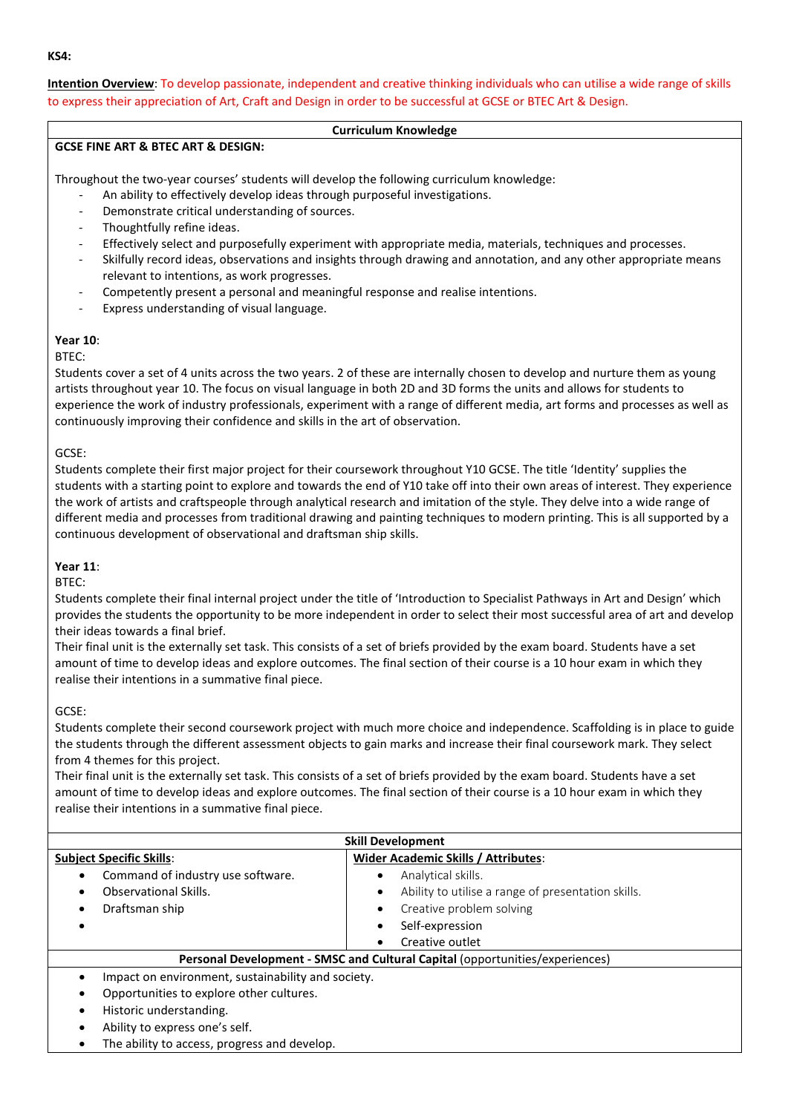**Intention Overview**: To develop passionate, independent and creative thinking individuals who can utilise a wide range of skills to express their appreciation of Art, Craft and Design in order to be successful at GCSE or BTEC Art & Design.

## **Curriculum Knowledge**

## **GCSE FINE ART & BTEC ART & DESIGN:**

Throughout the two-year courses' students will develop the following curriculum knowledge:

- An ability to effectively develop ideas through purposeful investigations.
- Demonstrate critical understanding of sources.
- Thoughtfully refine ideas.
- Effectively select and purposefully experiment with appropriate media, materials, techniques and processes.
- Skilfully record ideas, observations and insights through drawing and annotation, and any other appropriate means relevant to intentions, as work progresses.
- Competently present a personal and meaningful response and realise intentions.
- Express understanding of visual language.

# **Year 10**:

## BTEC:

Students cover a set of 4 units across the two years. 2 of these are internally chosen to develop and nurture them as young artists throughout year 10. The focus on visual language in both 2D and 3D forms the units and allows for students to experience the work of industry professionals, experiment with a range of different media, art forms and processes as well as continuously improving their confidence and skills in the art of observation.

## GCSE:

Students complete their first major project for their coursework throughout Y10 GCSE. The title 'Identity' supplies the students with a starting point to explore and towards the end of Y10 take off into their own areas of interest. They experience the work of artists and craftspeople through analytical research and imitation of the style. They delve into a wide range of different media and processes from traditional drawing and painting techniques to modern printing. This is all supported by a continuous development of observational and draftsman ship skills.

# **Year 11**:

BTEC:

Students complete their final internal project under the title of 'Introduction to Specialist Pathways in Art and Design' which provides the students the opportunity to be more independent in order to select their most successful area of art and develop their ideas towards a final brief.

Their final unit is the externally set task. This consists of a set of briefs provided by the exam board. Students have a set amount of time to develop ideas and explore outcomes. The final section of their course is a 10 hour exam in which they realise their intentions in a summative final piece.

GCSE:

Students complete their second coursework project with much more choice and independence. Scaffolding is in place to guide the students through the different assessment objects to gain marks and increase their final coursework mark. They select from 4 themes for this project.

Their final unit is the externally set task. This consists of a set of briefs provided by the exam board. Students have a set amount of time to develop ideas and explore outcomes. The final section of their course is a 10 hour exam in which they realise their intentions in a summative final piece.

| <b>Skill Development</b>                                                     |                                                                 |  |
|------------------------------------------------------------------------------|-----------------------------------------------------------------|--|
| <b>Subject Specific Skills:</b>                                              | <b>Wider Academic Skills / Attributes:</b>                      |  |
| Command of industry use software.<br>٠                                       | Analytical skills.<br>٠                                         |  |
| Observational Skills.<br>٠                                                   | Ability to utilise a range of presentation skills.<br>$\bullet$ |  |
| Draftsman ship<br>٠                                                          | Creative problem solving<br>٠                                   |  |
|                                                                              | Self-expression<br>٠                                            |  |
|                                                                              | Creative outlet                                                 |  |
| Personal Development - SMSC and Cultural Capital (opportunities/experiences) |                                                                 |  |
| Impact on environment, sustainability and society.<br>$\bullet$              |                                                                 |  |
| Opportunities to explore other cultures.<br>٠                                |                                                                 |  |
| Historic understanding.<br>$\bullet$                                         |                                                                 |  |
| Ability to express one's self.                                               |                                                                 |  |

• The ability to access, progress and develop.